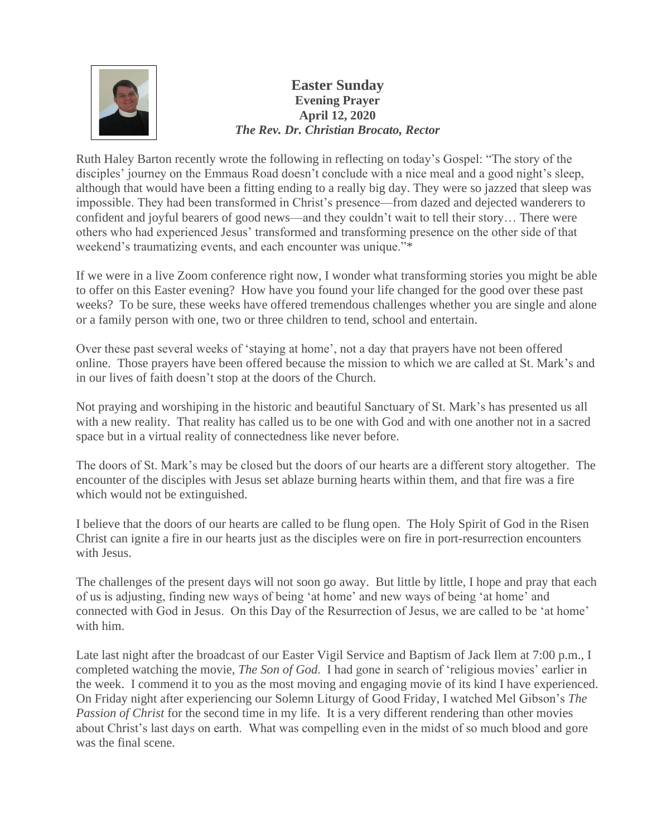

## **Easter Sunday Evening Prayer April 12, 2020** *The Rev. Dr. Christian Brocato, Rector*

Ruth Haley Barton recently wrote the following in reflecting on today's Gospel: "The story of the disciples' journey on the Emmaus Road doesn't conclude with a nice meal and a good night's sleep, although that would have been a fitting ending to a really big day. They were so jazzed that sleep was impossible. They had been transformed in Christ's presence—from dazed and dejected wanderers to confident and joyful bearers of good news—and they couldn't wait to tell their story… There were others who had experienced Jesus' transformed and transforming presence on the other side of that weekend's traumatizing events, and each encounter was unique."\*

If we were in a live Zoom conference right now, I wonder what transforming stories you might be able to offer on this Easter evening? How have you found your life changed for the good over these past weeks? To be sure, these weeks have offered tremendous challenges whether you are single and alone or a family person with one, two or three children to tend, school and entertain.

Over these past several weeks of 'staying at home', not a day that prayers have not been offered online. Those prayers have been offered because the mission to which we are called at St. Mark's and in our lives of faith doesn't stop at the doors of the Church.

Not praying and worshiping in the historic and beautiful Sanctuary of St. Mark's has presented us all with a new reality. That reality has called us to be one with God and with one another not in a sacred space but in a virtual reality of connectedness like never before.

The doors of St. Mark's may be closed but the doors of our hearts are a different story altogether. The encounter of the disciples with Jesus set ablaze burning hearts within them, and that fire was a fire which would not be extinguished.

I believe that the doors of our hearts are called to be flung open. The Holy Spirit of God in the Risen Christ can ignite a fire in our hearts just as the disciples were on fire in port-resurrection encounters with Jesus.

The challenges of the present days will not soon go away. But little by little, I hope and pray that each of us is adjusting, finding new ways of being 'at home' and new ways of being 'at home' and connected with God in Jesus. On this Day of the Resurrection of Jesus, we are called to be 'at home' with him.

Late last night after the broadcast of our Easter Vigil Service and Baptism of Jack Ilem at 7:00 p.m., I completed watching the movie, *The Son of God*. I had gone in search of 'religious movies' earlier in the week. I commend it to you as the most moving and engaging movie of its kind I have experienced. On Friday night after experiencing our Solemn Liturgy of Good Friday, I watched Mel Gibson's *The Passion of Christ* for the second time in my life. It is a very different rendering than other movies about Christ's last days on earth. What was compelling even in the midst of so much blood and gore was the final scene.